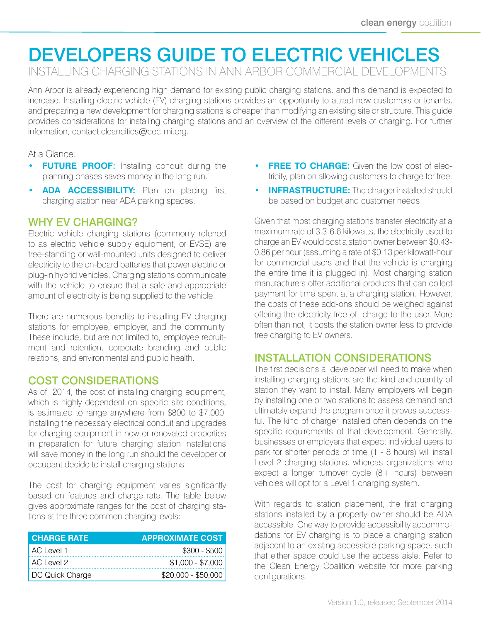# DEVELOPERS GUIDE TO ELECTRIC VEHICLES

INSTALLING CHARGING STATIONS IN ANN ARBOR COMMERCIAL DEVELOPMENTS

Ann Arbor is already experiencing high demand for existing public charging stations, and this demand is expected to increase. Installing electric vehicle (EV) charging stations provides an opportunity to attract new customers or tenants, and preparing a new development for charging stations is cheaper than modifying an existing site or structure. This guide provides considerations for installing charging stations and an overview of the different levels of charging. For further information, contact cleancities@[cec-mi.org.](cec-mi.org)

#### At a Glance:

- **• FUTURE PROOF**: Installing conduit during the planning phases saves money in the long run.
- **ADA ACCESSIBILITY:** Plan on placing first charging station near ADA parking spaces.

#### WHY EV CHARGING?

Electric vehicle charging stations (commonly referred to as electric vehicle supply equipment, or EVSE) are free-standing or wall-mounted units designed to deliver electricity to the on-board batteries that power electric or plug-in hybrid vehicles. Charging stations communicate with the vehicle to ensure that a safe and appropriate amount of electricity is being supplied to the vehicle.

There are numerous benefits to installing EV charging stations for employee, employer, and the community. These include, but are not limited to, employee recruitment and retention, corporate branding and public relations, and environmental and public health.

#### COST CONSIDERATIONS

As of 2014, the cost of installing charging equipment, which is highly dependent on specific site conditions, is estimated to range anywhere from \$800 to \$7,000. Installing the necessary electrical conduit and upgrades for charging equipment in new or renovated properties in preparation for future charging station installations will save money in the long run should the developer or occupant decide to install charging stations.

The cost for charging equipment varies significantly based on features and charge rate. The table below gives approximate ranges for the cost of charging stations at the three common charging levels:

| <b>CHARGE RATE</b> | <b>APPROXIMATE COST</b> |
|--------------------|-------------------------|
| AC Level 1         | $$300 - $500$           |
| AC Level 2         | $$1,000 - $7,000$       |
| DC Quick Charge    | $$20,000 - $50,000$     |

- **FREE TO CHARGE:** Given the low cost of electricity, plan on allowing customers to charge for free.
- **INFRASTRUCTURE:** The charger installed should be based on budget and customer needs.

Given that most charging stations transfer electricity at a maximum rate of 3.3-6.6 kilowatts, the electricity used to charge an EV would cost a station owner between \$0.43- 0.86 per hour (assuming a rate of \$0.13 per kilowatt-hour for commercial users and that the vehicle is charging the entire time it is plugged in). Most charging station manufacturers offer additional products that can collect payment for time spent at a charging station. However, the costs of these add-ons should be weighed against offering the electricity free-of- charge to the user. More often than not, it costs the station owner less to provide free charging to EV owners.

## INSTALLATION CONSIDERATIONS

The first decisions a developer will need to make when installing charging stations are the kind and quantity of station they want to install. Many employers will begin by installing one or two stations to assess demand and ultimately expand the program once it proves successful. The kind of charger installed often depends on the specific requirements of that development. Generally, businesses or employers that expect individual users to park for shorter periods of time (1 - 8 hours) will install Level 2 charging stations, whereas organizations who expect a longer turnover cycle (8+ hours) between vehicles will opt for a Level 1 charging system.

With regards to station placement, the first charging stations installed by a property owner should be ADA accessible. One way to provide accessibility accommodations for EV charging is to place a charging station adjacent to an existing accessible parking space, such that either space could use the access aisle. Refer to the Clean Energy Coalition website for more parking configurations.